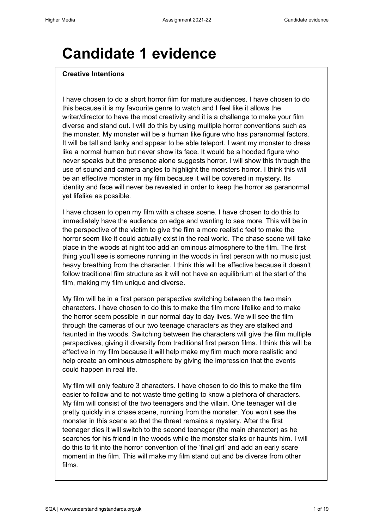## **Candidate 1 evidence**

#### **Creative Intentions**

I have chosen to do a short horror film for mature audiences. I have chosen to do this because it is my favourite genre to watch and I feel like it allows the writer/director to have the most creativity and it is a challenge to make your film diverse and stand out. I will do this by using multiple horror conventions such as the monster. My monster will be a human like figure who has paranormal factors. It will be tall and lanky and appear to be able teleport. I want my monster to dress like a normal human but never show its face. It would be a hooded figure who never speaks but the presence alone suggests horror. I will show this through the use of sound and camera angles to highlight the monsters horror. I think this will be an effective monster in my film because it will be covered in mystery. Its identity and face will never be revealed in order to keep the horror as paranormal yet lifelike as possible.

I have chosen to open my film with a chase scene. I have chosen to do this to immediately have the audience on edge and wanting to see more. This will be in the perspective of the victim to give the film a more realistic feel to make the horror seem like it could actually exist in the real world. The chase scene will take place in the woods at night too add an ominous atmosphere to the film. The first thing you'll see is someone running in the woods in first person with no music just heavy breathing from the character. I think this will be effective because it doesn't follow traditional film structure as it will not have an equilibrium at the start of the film, making my film unique and diverse.

My film will be in a first person perspective switching between the two main characters. I have chosen to do this to make the film more lifelike and to make the horror seem possible in our normal day to day lives. We will see the film through the cameras of our two teenage characters as they are stalked and haunted in the woods. Switching between the characters will give the film multiple perspectives, giving it diversity from traditional first person films. I think this will be effective in my film because it will help make my film much more realistic and help create an ominous atmosphere by giving the impression that the events could happen in real life.

My film will only feature 3 characters. I have chosen to do this to make the film easier to follow and to not waste time getting to know a plethora of characters. My film will consist of the two teenagers and the villain. One teenager will die pretty quickly in a chase scene, running from the monster. You won't see the monster in this scene so that the threat remains a mystery. After the first teenager dies it will switch to the second teenager (the main character) as he searches for his friend in the woods while the monster stalks or haunts him. I will do this to fit into the horror convention of the 'final girl' and add an early scare moment in the film. This will make my film stand out and be diverse from other films.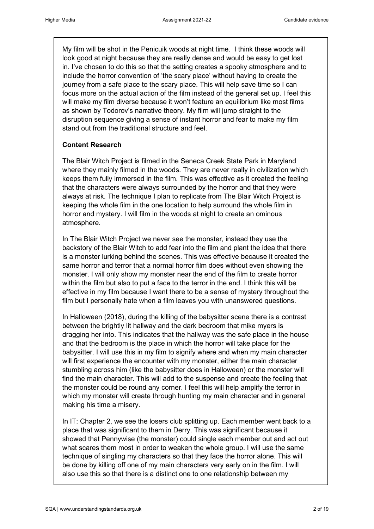My film will be shot in the Penicuik woods at night time. I think these woods will look good at night because they are really dense and would be easy to get lost in. I've chosen to do this so that the setting creates a spooky atmosphere and to include the horror convention of 'the scary place' without having to create the journey from a safe place to the scary place. This will help save time so I can focus more on the actual action of the film instead of the general set up. I feel this will make my film diverse because it won't feature an equilibrium like most films as shown by Todorov's narrative theory. My film will jump straight to the disruption sequence giving a sense of instant horror and fear to make my film stand out from the traditional structure and feel.

## **Content Research**

The Blair Witch Project is filmed in the Seneca Creek State Park in Maryland where they mainly filmed in the woods. They are never really in civilization which keeps them fully immersed in the film. This was effective as it created the feeling that the characters were always surrounded by the horror and that they were always at risk. The technique I plan to replicate from The Blair Witch Project is keeping the whole film in the one location to help surround the whole film in horror and mystery. I will film in the woods at night to create an ominous atmosphere.

In The Blair Witch Project we never see the monster, instead they use the backstory of the Blair Witch to add fear into the film and plant the idea that there is a monster lurking behind the scenes. This was effective because it created the same horror and terror that a normal horror film does without even showing the monster. I will only show my monster near the end of the film to create horror within the film but also to put a face to the terror in the end. I think this will be effective in my film because I want there to be a sense of mystery throughout the film but I personally hate when a film leaves you with unanswered questions.

In Halloween (2018), during the killing of the babysitter scene there is a contrast between the brightly lit hallway and the dark bedroom that mike myers is dragging her into. This indicates that the hallway was the safe place in the house and that the bedroom is the place in which the horror will take place for the babysitter. I will use this in my film to signify where and when my main character will first experience the encounter with my monster, either the main character stumbling across him (like the babysitter does in Halloween) or the monster will find the main character. This will add to the suspense and create the feeling that the monster could be round any corner. I feel this will help amplify the terror in which my monster will create through hunting my main character and in general making his time a misery.

In IT: Chapter 2, we see the losers club splitting up. Each member went back to a place that was significant to them in Derry. This was significant because it showed that Pennywise (the monster) could single each member out and act out what scares them most in order to weaken the whole group. I will use the same technique of singling my characters so that they face the horror alone. This will be done by killing off one of my main characters very early on in the film. I will also use this so that there is a distinct one to one relationship between my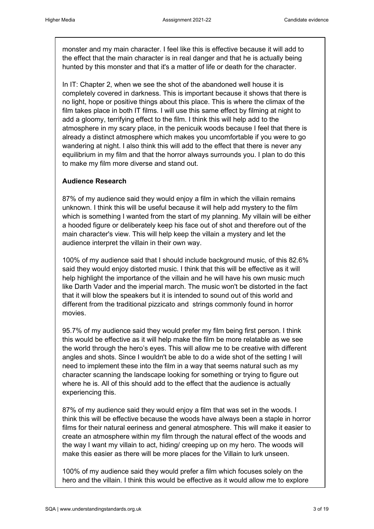monster and my main character. I feel like this is effective because it will add to the effect that the main character is in real danger and that he is actually being hunted by this monster and that it's a matter of life or death for the character.

In IT: Chapter 2, when we see the shot of the abandoned well house it is completely covered in darkness. This is important because it shows that there is no light, hope or positive things about this place. This is where the climax of the film takes place in both IT films. I will use this same effect by filming at night to add a gloomy, terrifying effect to the film. I think this will help add to the atmosphere in my scary place, in the penicuik woods because I feel that there is already a distinct atmosphere which makes you uncomfortable if you were to go wandering at night. I also think this will add to the effect that there is never any equilibrium in my film and that the horror always surrounds you. I plan to do this to make my film more diverse and stand out.

## **Audience Research**

87% of my audience said they would enjoy a film in which the villain remains unknown. I think this will be useful because it will help add mystery to the film which is something I wanted from the start of my planning. My villain will be either a hooded figure or deliberately keep his face out of shot and therefore out of the main character's view. This will help keep the villain a mystery and let the audience interpret the villain in their own way.

100% of my audience said that I should include background music, of this 82.6% said they would enjoy distorted music. I think that this will be effective as it will help highlight the importance of the villain and he will have his own music much like Darth Vader and the imperial march. The music won't be distorted in the fact that it will blow the speakers but it is intended to sound out of this world and different from the traditional pizzicato and strings commonly found in horror movies.

95.7% of my audience said they would prefer my film being first person. I think this would be effective as it will help make the film be more relatable as we see the world through the hero's eyes. This will allow me to be creative with different angles and shots. Since I wouldn't be able to do a wide shot of the setting I will need to implement these into the film in a way that seems natural such as my character scanning the landscape looking for something or trying to figure out where he is. All of this should add to the effect that the audience is actually experiencing this.

87% of my audience said they would enjoy a film that was set in the woods. I think this will be effective because the woods have always been a staple in horror films for their natural eeriness and general atmosphere. This will make it easier to create an atmosphere within my film through the natural effect of the woods and the way I want my villain to act, hiding/ creeping up on my hero. The woods will make this easier as there will be more places for the Villain to lurk unseen.

100% of my audience said they would prefer a film which focuses solely on the hero and the villain. I think this would be effective as it would allow me to explore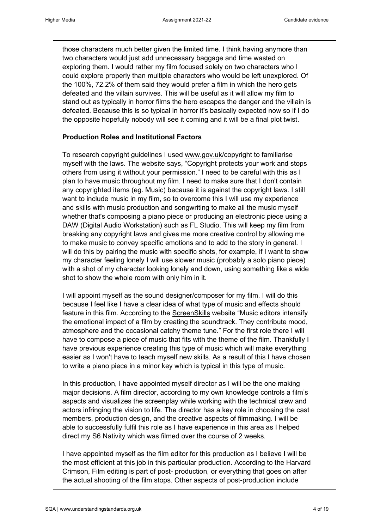those characters much better given the limited time. I think having anymore than two characters would just add unnecessary baggage and time wasted on exploring them. I would rather my film focused solely on two characters who I could explore properly than multiple characters who would be left unexplored. Of the 100%, 72.2% of them said they would prefer a film in which the hero gets defeated and the villain survives. This will be useful as it will allow my film to stand out as typically in horror films the hero escapes the danger and the villain is defeated. Because this is so typical in horror it's basically expected now so if I do the opposite hopefully nobody will see it coming and it will be a final plot twist.

## **Production Roles and Institutional Factors**

To research copyright guidelines I used [www.gov.uk/](http://www.gov.uk/)copyright to familiarise myself with the laws. The website says, "Copyright protects your work and stops others from using it without your permission." I need to be careful with this as I plan to have music throughout my film. I need to make sure that I don't contain any copyrighted items (eg. Music) because it is against the copyright laws. I still want to include music in my film, so to overcome this I will use my experience and skills with music production and songwriting to make all the music myself whether that's composing a piano piece or producing an electronic piece using a DAW (Digital Audio Workstation) such as FL Studio. This will keep my film from breaking any copyright laws and gives me more creative control by allowing me to make music to convey specific emotions and to add to the story in general. I will do this by pairing the music with specific shots, for example, if I want to show my character feeling lonely I will use slower music (probably a solo piano piece) with a shot of my character looking lonely and down, using something like a wide shot to show the whole room with only him in it.

I will appoint myself as the sound designer/composer for my film. I will do this because I feel like I have a clear idea of what type of music and effects should feature in this film. According to the [ScreenSkills](https://www.screenskills.com/starting-your-career/job-profiles/film-and-tv-drama/post-production/music-editor/) website "Music editors intensify the emotional impact of a film by creating the soundtrack. They contribute mood, atmosphere and the occasional catchy theme tune." For the first role there I will have to compose a piece of music that fits with the theme of the film. Thankfully I have previous experience creating this type of music which will make everything easier as I won't have to teach myself new skills. As a result of this I have chosen to write a piano piece in a minor key which is typical in this type of music.

In this production, I have appointed myself director as I will be the one making major decisions. A film director, according to my own knowledge controls a film's aspects and visualizes the screenplay while working with the technical crew and actors infringing the vision to life. The director has a key role in choosing the cast members, production design, and the creative aspects of filmmaking. I will be able to successfully fulfil this role as I have experience in this area as I helped direct my S6 Nativity which was filmed over the course of 2 weeks.

I have appointed myself as the film editor for this production as I believe I will be the most efficient at this job in this particular production. According to the Harvard Crimson, Film editing is part of post- production, or everything that goes on after the actual shooting of the film stops. Other aspects of post-production include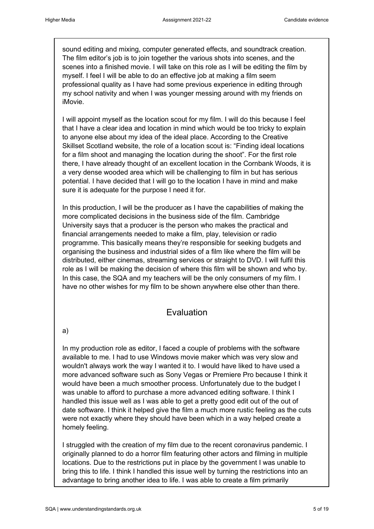sound editing and mixing, computer generated effects, and soundtrack creation. The film editor's job is to join together the various shots into scenes, and the scenes into a finished movie. I will take on this role as I will be editing the film by myself. I feel I will be able to do an effective job at making a film seem professional quality as I have had some previous experience in editing through my school nativity and when I was younger messing around with my friends on iMovie.

I will appoint myself as the location scout for my film. I will do this because I feel that I have a clear idea and location in mind which would be too tricky to explain to anyone else about my idea of the ideal place. According to the Creative Skillset Scotland website, the role of a location scout is: "Finding ideal locations for a film shoot and managing the location during the shoot". For the first role there, I have already thought of an excellent location in the Cornbank Woods, it is a very dense wooded area which will be challenging to film in but has serious potential. I have decided that I will go to the location I have in mind and make sure it is adequate for the purpose I need it for.

In this production, I will be the producer as I have the capabilities of making the more complicated decisions in the business side of the film. Cambridge University says that a producer is the person who makes the practical and financial arrangements needed to make a film, play, television or radio programme. This basically means they're responsible for seeking budgets and organising the business and industrial sides of a film like where the film will be distributed, either cinemas, streaming services or straight to DVD. I will fulfil this role as I will be making the decision of where this film will be shown and who by. In this case, the SQA and my teachers will be the only consumers of my film. I have no other wishes for my film to be shown anywhere else other than there.

## Evaluation

a)

In my production role as editor, I faced a couple of problems with the software available to me. I had to use Windows movie maker which was very slow and wouldn't always work the way I wanted it to. I would have liked to have used a more advanced software such as Sony Vegas or Premiere Pro because I think it would have been a much smoother process. Unfortunately due to the budget I was unable to afford to purchase a more advanced editing software. I think I handled this issue well as I was able to get a pretty good edit out of the out of date software. I think it helped give the film a much more rustic feeling as the cuts were not exactly where they should have been which in a way helped create a homely feeling.

I struggled with the creation of my film due to the recent coronavirus pandemic. I originally planned to do a horror film featuring other actors and filming in multiple locations. Due to the restrictions put in place by the government I was unable to bring this to life. I think I handled this issue well by turning the restrictions into an advantage to bring another idea to life. I was able to create a film primarily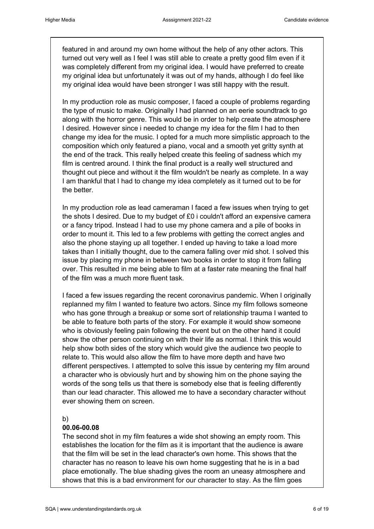featured in and around my own home without the help of any other actors. This turned out very well as I feel I was still able to create a pretty good film even if it was completely different from my original idea. I would have preferred to create my original idea but unfortunately it was out of my hands, although I do feel like my original idea would have been stronger I was still happy with the result.

In my production role as music composer, I faced a couple of problems regarding the type of music to make. Originally I had planned on an eerie soundtrack to go along with the horror genre. This would be in order to help create the atmosphere I desired. However since i needed to change my idea for the film I had to then change my idea for the music. I opted for a much more simplistic approach to the composition which only featured a piano, vocal and a smooth yet gritty synth at the end of the track. This really helped create this feeling of sadness which my film is centred around. I think the final product is a really well structured and thought out piece and without it the film wouldn't be nearly as complete. In a way I am thankful that I had to change my idea completely as it turned out to be for the better.

In my production role as lead cameraman I faced a few issues when trying to get the shots I desired. Due to my budget of £0 i couldn't afford an expensive camera or a fancy tripod. Instead I had to use my phone camera and a pile of books in order to mount it. This led to a few problems with getting the correct angles and also the phone staying up all together. I ended up having to take a load more takes than I initially thought, due to the camera falling over mid shot. I solved this issue by placing my phone in between two books in order to stop it from falling over. This resulted in me being able to film at a faster rate meaning the final half of the film was a much more fluent task.

I faced a few issues regarding the recent coronavirus pandemic. When I originally replanned my film I wanted to feature two actors. Since my film follows someone who has gone through a breakup or some sort of relationship trauma I wanted to be able to feature both parts of the story. For example it would show someone who is obviously feeling pain following the event but on the other hand it could show the other person continuing on with their life as normal. I think this would help show both sides of the story which would give the audience two people to relate to. This would also allow the film to have more depth and have two different perspectives. I attempted to solve this issue by centering my film around a character who is obviously hurt and by showing him on the phone saying the words of the song tells us that there is somebody else that is feeling differently than our lead character. This allowed me to have a secondary character without ever showing them on screen.

## b)

## **00.06-00.08**

The second shot in my film features a wide shot showing an empty room. This establishes the location for the film as it is important that the audience is aware that the film will be set in the lead character's own home. This shows that the character has no reason to leave his own home suggesting that he is in a bad place emotionally. The blue shading gives the room an uneasy atmosphere and shows that this is a bad environment for our character to stay. As the film goes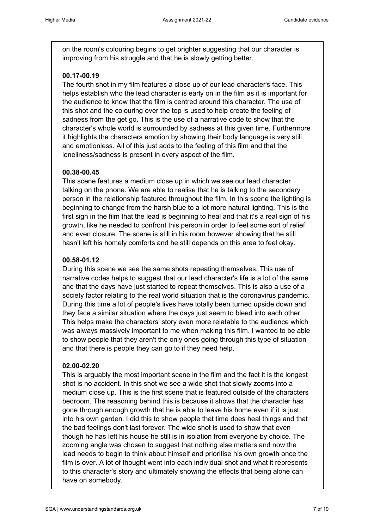on the room's colouring begins to get brighter suggesting that our character is improving from his struggle and that he is slowly getting better.

## **00.17-00.19**

The fourth shot in my film features a close up of our lead character's face. This helps establish who the lead character is early on in the film as it is important for the audience to know that the film is centred around this character. The use of this shot and the colouring over the top is used to help create the feeling of sadness from the get go. This is the use of a narrative code to show that the character's whole world is surrounded by sadness at this given time. Furthermore it highlights the characters emotion by showing their body language is very still and emotionless. All of this just adds to the feeling of this film and that the loneliness/sadness is present in every aspect of the film.

## **00.38-00.45**

This scene features a medium close up in which we see our lead character talking on the phone. We are able to realise that he is talking to the secondary person in the relationship featured throughout the film. In this scene the lighting is beginning to change from the harsh blue to a lot more natural lighting. This is the first sign in the film that the lead is beginning to heal and that it's a real sign of his growth, like he needed to confront this person in order to feel some sort of relief and even closure. The scene is still in his room however showing that he still hasn't left his homely comforts and he still depends on this area to feel okay.

## **00.58-01.12**

During this scene we see the same shots repeating themselves. This use of narrative codes helps to suggest that our lead character's life is a lot of the same and that the days have just started to repeat themselves. This is also a use of a society factor relating to the real world situation that is the coronavirus pandemic. During this time a lot of people's lives have totally been turned upside down and they face a similar situation where the days just seem to bleed into each other. This helps make the characters' story even more relatable to the audience which was always massively important to me when making this film. I wanted to be able to show people that they aren't the only ones going through this type of situation and that there is people they can go to if they need help.

## **02.00-02.20**

This is arguably the most important scene in the film and the fact it is the longest shot is no accident. In this shot we see a wide shot that slowly zooms into a medium close up. This is the first scene that is featured outside of the characters bedroom. The reasoning behind this is because it shows that the character has gone through enough growth that he is able to leave his home even if it is just into his own garden. I did this to show people that time does heal things and that the bad feelings don't last forever. The wide shot is used to show that even though he has left his house he still is in isolation from everyone by choice. The zooming angle was chosen to suggest that nothing else matters and now the lead needs to begin to think about himself and prioritise his own growth once the film is over. A lot of thought went into each individual shot and what it represents to this character's story and ultimately showing the effects that being alone can have on somebody.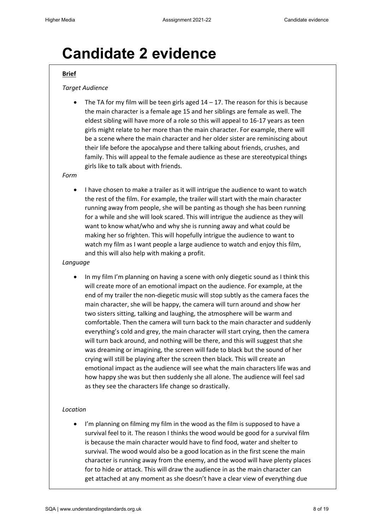# **Candidate 2 evidence**

#### **Brief**

#### *Target Audience*

The TA for my film will be teen girls aged  $14 - 17$ . The reason for this is because the main character is a female age 15 and her siblings are female as well. The eldest sibling will have more of a role so this will appeal to 16-17 years as teen girls might relate to her more than the main character. For example, there will be a scene where the main character and her older sister are reminiscing about their life before the apocalypse and there talking about friends, crushes, and family. This will appeal to the female audience as these are stereotypical things girls like to talk about with friends.

#### *Form*

• I have chosen to make a trailer as it will intrigue the audience to want to watch the rest of the film. For example, the trailer will start with the main character running away from people, she will be panting as though she has been running for a while and she will look scared. This will intrigue the audience as they will want to know what/who and why she is running away and what could be making her so frighten. This will hopefully intrigue the audience to want to watch my film as I want people a large audience to watch and enjoy this film, and this will also help with making a profit.

#### *Language*

• In my film I'm planning on having a scene with only diegetic sound as I think this will create more of an emotional impact on the audience. For example, at the end of my trailer the non-diegetic music will stop subtly as the camera faces the main character, she will be happy, the camera will turn around and show her two sisters sitting, talking and laughing, the atmosphere will be warm and comfortable. Then the camera will turn back to the main character and suddenly everything's cold and grey, the main character will start crying, then the camera will turn back around, and nothing will be there, and this will suggest that she was dreaming or imagining, the screen will fade to black but the sound of her crying will still be playing after the screen then black. This will create an emotional impact as the audience will see what the main characters life was and how happy she was but then suddenly she all alone. The audience will feel sad as they see the characters life change so drastically.

#### *Location*

• I'm planning on filming my film in the wood as the film is supposed to have a survival feel to it. The reason I thinks the wood would be good for a survival film is because the main character would have to find food, water and shelter to survival. The wood would also be a good location as in the first scene the main character is running away from the enemy, and the wood will have plenty places for to hide or attack. This will draw the audience in as the main character can get attached at any moment as she doesn't have a clear view of everything due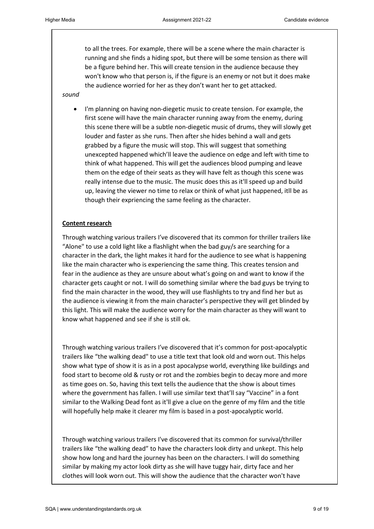to all the trees. For example, there will be a scene where the main character is running and she finds a hiding spot, but there will be some tension as there will be a figure behind her. This will create tension in the audience because they won't know who that person is, if the figure is an enemy or not but it does make the audience worried for her as they don't want her to get attacked.

*sound*

• I'm planning on having non-diegetic music to create tension. For example, the first scene will have the main character running away from the enemy, during this scene there will be a subtle non-diegetic music of drums, they will slowly get louder and faster as she runs. Then after she hides behind a wall and gets grabbed by a figure the music will stop. This will suggest that something unexcepted happened which'll leave the audience on edge and left with time to think of what happened. This will get the audiences blood pumping and leave them on the edge of their seats as they will have felt as though this scene was really intense due to the music. The music does this as it'll speed up and build up, leaving the viewer no time to relax or think of what just happened, itll be as though their expriencing the same feeling as the character.

#### **Content research**

Through watching various trailers I've discovered that its common for thriller trailers like "Alone" to use a cold light like a flashlight when the bad guy/s are searching for a character in the dark, the light makes it hard for the audience to see what is happening like the main character who is experiencing the same thing. This creates tension and fear in the audience as they are unsure about what's going on and want to know if the character gets caught or not. I will do something similar where the bad guys be trying to find the main character in the wood, they will use flashlights to try and find her but as the audience is viewing it from the main character's perspective they will get blinded by this light. This will make the audience worry for the main character as they will want to know what happened and see if she is still ok.

Through watching various trailers I've discovered that it's common for post-apocalyptic trailers like "the walking dead" to use a title text that look old and worn out. This helps show what type of show it is as in a post apocalypse world, everything like buildings and food start to become old & rusty or rot and the zombies begin to decay more and more as time goes on. So, having this text tells the audience that the show is about times where the government has fallen. I will use similar text that'll say "Vaccine" in a font similar to the Walking Dead font as it'll give a clue on the genre of my film and the title will hopefully help make it clearer my film is based in a post-apocalyptic world.

Through watching various trailers I've discovered that its common for survival/thriller trailers like "the walking dead" to have the characters look dirty and unkept. This help show how long and hard the journey has been on the characters. I will do something similar by making my actor look dirty as she will have tuggy hair, dirty face and her clothes will look worn out. This will show the audience that the character won't have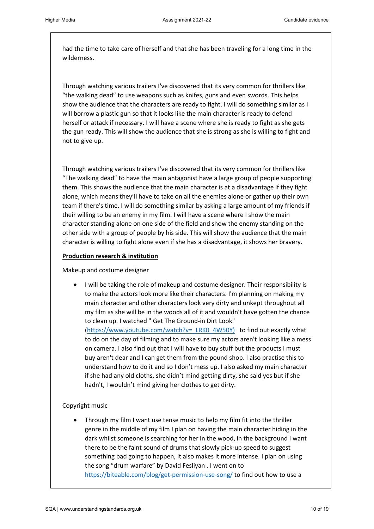had the time to take care of herself and that she has been traveling for a long time in the wilderness.

Through watching various trailers I've discovered that its very common for thrillers like "the walking dead" to use weapons such as knifes, guns and even swords. This helps show the audience that the characters are ready to fight. I will do something similar as I will borrow a plastic gun so that it looks like the main character is ready to defend herself or attack if necessary. I will have a scene where she is ready to fight as she gets the gun ready. This will show the audience that she is strong as she is willing to fight and not to give up.

Through watching various trailers I've discovered that its very common for thrillers like "The walking dead" to have the main antagonist have a large group of people supporting them. This shows the audience that the main character is at a disadvantage if they fight alone, which means they'll have to take on all the enemies alone or gather up their own team if there's time. I will do something similar by asking a large amount of my friends if their willing to be an enemy in my film. I will have a scene where I show the main character standing alone on one side of the field and show the enemy standing on the other side with a group of people by his side. This will show the audience that the main character is willing to fight alone even if she has a disadvantage, it shows her bravery.

#### **Production research & institution**

Makeup and costume designer

• I will be taking the role of makeup and costume designer. Their responsibility is to make the actors look more like their characters. I'm planning on making my main character and other characters look very dirty and unkept throughout all my film as she will be in the woods all of it and wouldn't have gotten the chance to clean up. I watched " Get The Ground-in Dirt Look" [\(https://www.youtube.com/watch?v=\\_LRK0\\_4W50Y\)](https://www.youtube.com/watch?v=_LRK0_4W50Y) to find out exactly what to do on the day of filming and to make sure my actors aren't looking like a mess on camera. I also find out that I will have to buy stuff but the products I must buy aren't dear and I can get them from the pound shop. I also practise this to understand how to do it and so I don't mess up. I also asked my main character if she had any old cloths, she didn't mind getting dirty, she said yes but if she hadn't, I wouldn't mind giving her clothes to get dirty.

## Copyright music

• Through my film I want use tense music to help my film fit into the thriller genre.in the middle of my film I plan on having the main character hiding in the dark whilst someone is searching for her in the wood, in the background I want there to be the faint sound of drums that slowly pick-up speed to suggest something bad going to happen, it also makes it more intense. I plan on using the song "drum warfare" by David Fesliyan . I went on to <https://biteable.com/blog/get-permission-use-song/> to find out how to use a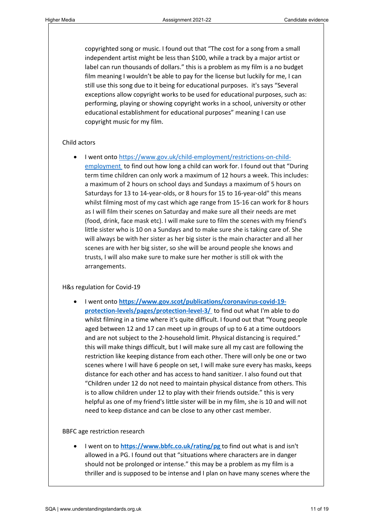copyrighted song or music. I found out that "The cost for a song from a small independent artist might be less than \$100, while a track by a major artist or label can run thousands of dollars." this is a problem as my film is a no budget film meaning I wouldn't be able to pay for the license but luckily for me, I can still use this song due to it being for educational purposes. it's says "Several exceptions allow copyright works to be used for educational purposes, such as: performing, playing or showing copyright works in a school, university or other educational establishment for educational purposes" meaning I can use copyright music for my film.

#### Child actors

• I went onto [https://www.gov.uk/child-employment/restrictions-on-child](https://www.gov.uk/child-employment/restrictions-on-child-employment)[employment](https://www.gov.uk/child-employment/restrictions-on-child-employment) to find out how long a child can work for. I found out that "During term time children can only work a maximum of 12 hours a week. This includes: a maximum of 2 hours on school days and Sundays a maximum of 5 hours on Saturdays for 13 to 14-year-olds, or 8 hours for 15 to 16-year-old" this means whilst filming most of my cast which age range from 15-16 can work for 8 hours as I will film their scenes on Saturday and make sure all their needs are met (food, drink, face mask etc). I will make sure to film the scenes with my friend's little sister who is 10 on a Sundays and to make sure she is taking care of. She will always be with her sister as her big sister is the main character and all her scenes are with her big sister, so she will be around people she knows and trusts, I will also make sure to make sure her mother is still ok with the arrangements.

#### H&s regulation for Covid-19

• I went onto **[https://www.gov.scot/publications/coronavirus-covid-19](https://www.gov.scot/publications/coronavirus-covid-19-protection-levels/pages/protection-level-3/) [protection-levels/pages/protection-level-3/](https://www.gov.scot/publications/coronavirus-covid-19-protection-levels/pages/protection-level-3/)** to find out what I'm able to do whilst filming in a time where it's quite difficult. I found out that "Young people aged between 12 and 17 can meet up in groups of up to 6 at a time outdoors and are not subject to the 2-household limit. Physical distancing is required." this will make things difficult, but I will make sure all my cast are following the restriction like keeping distance from each other. There will only be one or two scenes where I will have 6 people on set, I will make sure every has masks, keeps distance for each other and has access to hand sanitizer. I also found out that "Children under 12 do not need to maintain physical distance from others. This is to allow children under 12 to play with their friends outside." this is very helpful as one of my friend's little sister will be in my film, she is 10 and will not need to keep distance and can be close to any other cast member.

#### BBFC age restriction research

• I went on to **<https://www.bbfc.co.uk/rating/pg>**to find out what is and isn't allowed in a PG. I found out that "situations where characters are in danger should not be prolonged or intense." this may be a problem as my film is a thriller and is supposed to be intense and I plan on have many scenes where the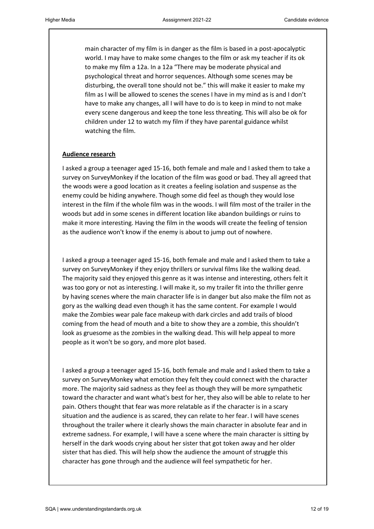main character of my film is in danger as the film is based in a post-apocalyptic world. I may have to make some changes to the film or ask my teacher if its ok to make my film a 12a. In a 12a "There may be moderate physical and psychological threat and horror sequences. Although some scenes may be disturbing, the overall tone should not be." this will make it easier to make my film as I will be allowed to scenes the scenes I have in my mind as is and I don't have to make any changes, all I will have to do is to keep in mind to not make every scene dangerous and keep the tone less threating. This will also be ok for children under 12 to watch my film if they have parental guidance whilst watching the film.

#### **Audience research**

I asked a group a teenager aged 15-16, both female and male and I asked them to take a survey on SurveyMonkey if the location of the film was good or bad. They all agreed that the woods were a good location as it creates a feeling isolation and suspense as the enemy could be hiding anywhere. Though some did feel as though they would lose interest in the film if the whole film was in the woods. I will film most of the trailer in the woods but add in some scenes in different location like abandon buildings or ruins to make it more interesting. Having the film in the woods will create the feeling of tension as the audience won't know if the enemy is about to jump out of nowhere.

I asked a group a teenager aged 15-16, both female and male and I asked them to take a survey on SurveyMonkey if they enjoy thrillers or survival films like the walking dead. The majority said they enjoyed this genre as it was intense and interesting, others felt it was too gory or not as interesting. I will make it, so my trailer fit into the thriller genre by having scenes where the main character life is in danger but also make the film not as gory as the walking dead even though it has the same content. For example I would make the Zombies wear pale face makeup with dark circles and add trails of blood coming from the head of mouth and a bite to show they are a zombie, this shouldn't look as gruesome as the zombies in the walking dead. This will help appeal to more people as it won't be so gory, and more plot based.

I asked a group a teenager aged 15-16, both female and male and I asked them to take a survey on SurveyMonkey what emotion they felt they could connect with the character more. The majority said sadness as they feel as though they will be more sympathetic toward the character and want what's best for her, they also will be able to relate to her pain. Others thought that fear was more relatable as if the character is in a scary situation and the audience is as scared, they can relate to her fear. I will have scenes throughout the trailer where it clearly shows the main character in absolute fear and in extreme sadness. For example, I will have a scene where the main character is sitting by herself in the dark woods crying about her sister that got token away and her older sister that has died. This will help show the audience the amount of struggle this character has gone through and the audience will feel sympathetic for her.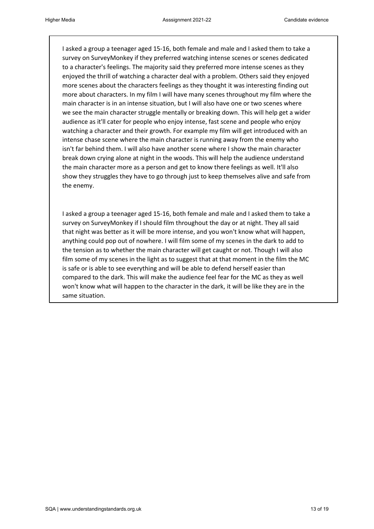I asked a group a teenager aged 15-16, both female and male and I asked them to take a survey on SurveyMonkey if they preferred watching intense scenes or scenes dedicated to a character's feelings. The majority said they preferred more intense scenes as they enjoyed the thrill of watching a character deal with a problem. Others said they enjoyed more scenes about the characters feelings as they thought it was interesting finding out more about characters. In my film I will have many scenes throughout my film where the main character is in an intense situation, but I will also have one or two scenes where we see the main character struggle mentally or breaking down. This will help get a wider audience as it'll cater for people who enjoy intense, fast scene and people who enjoy watching a character and their growth. For example my film will get introduced with an intense chase scene where the main character is running away from the enemy who isn't far behind them. I will also have another scene where I show the main character break down crying alone at night in the woods. This will help the audience understand the main character more as a person and get to know there feelings as well. It'll also show they struggles they have to go through just to keep themselves alive and safe from the enemy.

I asked a group a teenager aged 15-16, both female and male and I asked them to take a survey on SurveyMonkey if I should film throughout the day or at night. They all said that night was better as it will be more intense, and you won't know what will happen, anything could pop out of nowhere. I will film some of my scenes in the dark to add to the tension as to whether the main character will get caught or not. Though I will also film some of my scenes in the light as to suggest that at that moment in the film the MC is safe or is able to see everything and will be able to defend herself easier than compared to the dark. This will make the audience feel fear for the MC as they as well won't know what will happen to the character in the dark, it will be like they are in the same situation.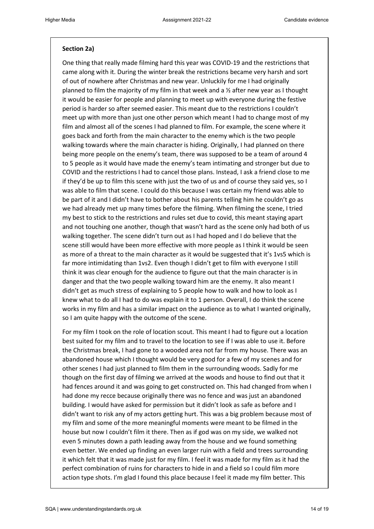#### **Section 2a)**

One thing that really made filming hard this year was COVID-19 and the restrictions that came along with it. During the winter break the restrictions became very harsh and sort of out of nowhere after Christmas and new year. Unluckily for me I had originally planned to film the majority of my film in that week and a  $\frac{1}{2}$  after new year as I thought it would be easier for people and planning to meet up with everyone during the festive period is harder so after seemed easier. This meant due to the restrictions I couldn't meet up with more than just one other person which meant I had to change most of my film and almost all of the scenes I had planned to film. For example, the scene where it goes back and forth from the main character to the enemy which is the two people walking towards where the main character is hiding. Originally, I had planned on there being more people on the enemy's team, there was supposed to be a team of around 4 to 5 people as it would have made the enemy's team intimating and stronger but due to COVID and the restrictions I had to cancel those plans. Instead, I ask a friend close to me if they'd be up to film this scene with just the two of us and of course they said yes, so I was able to film that scene. I could do this because I was certain my friend was able to be part of it and I didn't have to bother about his parents telling him he couldn't go as we had already met up many times before the filming. When filming the scene, I tried my best to stick to the restrictions and rules set due to covid, this meant staying apart and not touching one another, though that wasn't hard as the scene only had both of us walking together. The scene didn't turn out as I had hoped and I do believe that the scene still would have been more effective with more people as I think it would be seen as more of a threat to the main character as it would be suggested that it's 1vs5 which is far more intimidating than 1vs2. Even though I didn't get to film with everyone I still think it was clear enough for the audience to figure out that the main character is in danger and that the two people walking toward him are the enemy. It also meant I didn't get as much stress of explaining to 5 people how to walk and how to look as I knew what to do all I had to do was explain it to 1 person. Overall, I do think the scene works in my film and has a similar impact on the audience as to what I wanted originally, so I am quite happy with the outcome of the scene.

For my film I took on the role of location scout. This meant I had to figure out a location best suited for my film and to travel to the location to see if I was able to use it. Before the Christmas break, I had gone to a wooded area not far from my house. There was an abandoned house which I thought would be very good for a few of my scenes and for other scenes I had just planned to film them in the surrounding woods. Sadly for me though on the first day of filming we arrived at the woods and house to find out that it had fences around it and was going to get constructed on. This had changed from when I had done my recce because originally there was no fence and was just an abandoned building. I would have asked for permission but it didn't look as safe as before and I didn't want to risk any of my actors getting hurt. This was a big problem because most of my film and some of the more meaningful moments were meant to be filmed in the house but now I couldn't film it there. Then as if god was on my side, we walked not even 5 minutes down a path leading away from the house and we found something even better. We ended up finding an even larger ruin with a field and trees surrounding it which felt that it was made just for my film. I feel it was made for my film as it had the perfect combination of ruins for characters to hide in and a field so I could film more action type shots. I'm glad I found this place because I feel it made my film better. This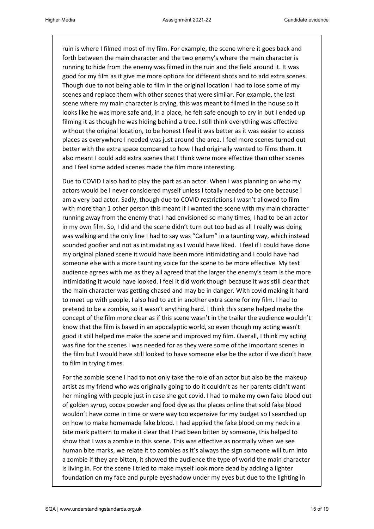ruin is where I filmed most of my film. For example, the scene where it goes back and forth between the main character and the two enemy's where the main character is running to hide from the enemy was filmed in the ruin and the field around it. It was good for my film as it give me more options for different shots and to add extra scenes. Though due to not being able to film in the original location I had to lose some of my scenes and replace them with other scenes that were similar. For example, the last scene where my main character is crying, this was meant to filmed in the house so it looks like he was more safe and, in a place, he felt safe enough to cry in but I ended up filming it as though he was hiding behind a tree. I still think everything was effective without the original location, to be honest I feel it was better as it was easier to access places as everywhere I needed was just around the area. I feel more scenes turned out better with the extra space compared to how I had originally wanted to films them. It also meant I could add extra scenes that I think were more effective than other scenes and I feel some added scenes made the film more interesting.

Due to COVID I also had to play the part as an actor. When I was planning on who my actors would be I never considered myself unless I totally needed to be one because I am a very bad actor. Sadly, though due to COVID restrictions I wasn't allowed to film with more than 1 other person this meant if I wanted the scene with my main character running away from the enemy that I had envisioned so many times, I had to be an actor in my own film. So, I did and the scene didn't turn out too bad as all I really was doing was walking and the only line I had to say was "Callum" in a taunting way, which instead sounded goofier and not as intimidating as I would have liked. I feel if I could have done my original planed scene it would have been more intimidating and I could have had someone else with a more taunting voice for the scene to be more effective. My test audience agrees with me as they all agreed that the larger the enemy's team is the more intimidating it would have looked. I feel it did work though because it was still clear that the main character was getting chased and may be in danger. With covid making it hard to meet up with people, I also had to act in another extra scene for my film. I had to pretend to be a zombie, so it wasn't anything hard. I think this scene helped make the concept of the film more clear as if this scene wasn't in the trailer the audience wouldn't know that the film is based in an apocalyptic world, so even though my acting wasn't good it still helped me make the scene and improved my film. Overall, I think my acting was fine for the scenes I was needed for as they were some of the important scenes in the film but I would have still looked to have someone else be the actor if we didn't have to film in trying times.

For the zombie scene I had to not only take the role of an actor but also be the makeup artist as my friend who was originally going to do it couldn't as her parents didn't want her mingling with people just in case she got covid. I had to make my own fake blood out of golden syrup, cocoa powder and food dye as the places online that sold fake blood wouldn't have come in time or were way too expensive for my budget so I searched up on how to make homemade fake blood. I had applied the fake blood on my neck in a bite mark pattern to make it clear that I had been bitten by someone, this helped to show that I was a zombie in this scene. This was effective as normally when we see human bite marks, we relate it to zombies as it's always the sign someone will turn into a zombie if they are bitten, it showed the audience the type of world the main character is living in. For the scene I tried to make myself look more dead by adding a lighter foundation on my face and purple eyeshadow under my eyes but due to the lighting in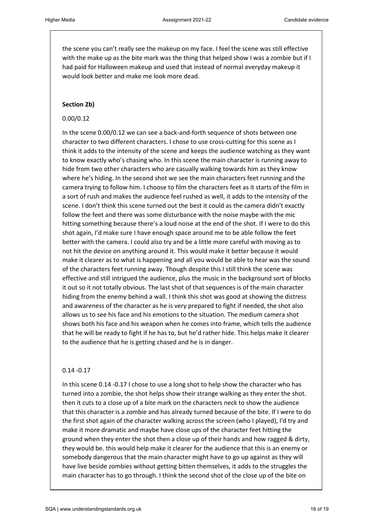the scene you can't really see the makeup on my face. I feel the scene was still effective with the make up as the bite mark was the thing that helped show I was a zombie but if I had paid for Halloween makeup and used that instead of normal everyday makeup it would look better and make me look more dead.

#### **Section 2b)**

#### 0.00/0.12

In the scene 0.00/0.12 we can see a back-and-forth sequence of shots between one character to two different characters. I chose to use cross-cutting for this scene as I think it adds to the intensity of the scene and keeps the audience watching as they want to know exactly who's chasing who. In this scene the main character is running away to hide from two other characters who are casually walking towards him as they know where he's hiding. In the second shot we see the main characters feet running and the camera trying to follow him. I choose to film the characters feet as it starts of the film in a sort of rush and makes the audience feel rushed as well, it adds to the intensity of the scene. I don't think this scene turned out the best it could as the camera didn't exactly follow the feet and there was some disturbance with the noise maybe with the mic hitting something because there's a loud noise at the end of the shot. If I were to do this shot again, I'd make sure I have enough space around me to be able follow the feet better with the camera. I could also try and be a little more careful with moving as to not hit the device on anything around it. This would make it better because it would make it clearer as to what is happening and all you would be able to hear was the sound of the characters feet running away. Though despite this I still think the scene was effective and still intrigued the audience, plus the music in the background sort of blocks it out so it not totally obvious. The last shot of that sequences is of the main character hiding from the enemy behind a wall. I think this shot was good at showing the distress and awareness of the character as he is very prepared to fight if needed, the shot also allows us to see his face and his emotions to the situation. The medium camera shot shows both his face and his weapon when he comes into frame, which tells the audience that he will be ready to fight if he has to, but he'd rather hide. This helps make it clearer to the audience that he is getting chased and he is in danger.

#### 0.14 -0.17

In this scene 0.14 -0.17 I chose to use a long shot to help show the character who has turned into a zombie, the shot helps show their strange walking as they enter the shot. then it cuts to a close up of a bite mark on the characters neck to show the audience that this character is a zombie and has already turned because of the bite. If I were to do the first shot again of the character walking across the screen (who I played), I'd try and make it more dramatic and maybe have close ups of the character feet hitting the ground when they enter the shot then a close up of their hands and how ragged & dirty, they would be. this would help make it clearer for the audience that this is an enemy or somebody dangerous that the main character might have to go up against as they will have live beside zombies without getting bitten themselves, it adds to the struggles the main character has to go through. I think the second shot of the close up of the bite on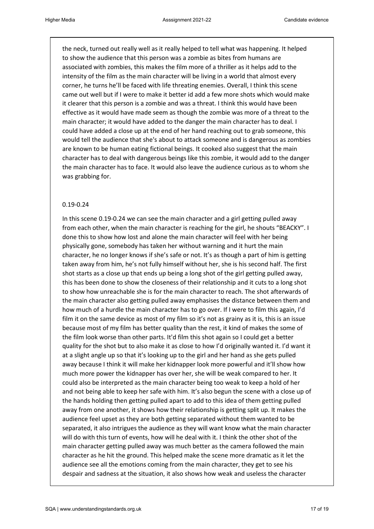the neck, turned out really well as it really helped to tell what was happening. It helped to show the audience that this person was a zombie as bites from humans are associated with zombies, this makes the film more of a thriller as it helps add to the intensity of the film as the main character will be living in a world that almost every corner, he turns he'll be faced with life threating enemies. Overall, I think this scene came out well but if I were to make it better id add a few more shots which would make it clearer that this person is a zombie and was a threat. I think this would have been effective as it would have made seem as though the zombie was more of a threat to the main character; it would have added to the danger the main character has to deal. I could have added a close up at the end of her hand reaching out to grab someone, this would tell the audience that she's about to attack someone and is dangerous as zombies are known to be human eating fictional beings. It cooked also suggest that the main character has to deal with dangerous beings like this zombie, it would add to the danger the main character has to face. It would also leave the audience curious as to whom she was grabbing for.

#### 0.19-0.24

In this scene 0.19-0.24 we can see the main character and a girl getting pulled away from each other, when the main character is reaching for the girl, he shouts "BEACKY". I done this to show how lost and alone the main character will feel with her being physically gone, somebody has taken her without warning and it hurt the main character, he no longer knows if she's safe or not. It's as though a part of him is getting taken away from him, he's not fully himself without her, she is his second half. The first shot starts as a close up that ends up being a long shot of the girl getting pulled away, this has been done to show the closeness of their relationship and it cuts to a long shot to show how unreachable she is for the main character to reach. The shot afterwards of the main character also getting pulled away emphasises the distance between them and how much of a hurdle the main character has to go over. If I were to film this again, I'd film it on the same device as most of my film so it's not as grainy as it is, this is an issue because most of my film has better quality than the rest, it kind of makes the some of the film look worse than other parts. It'd film this shot again so I could get a better quality for the shot but to also make it as close to how I'd originally wanted it. I'd want it at a slight angle up so that it's looking up to the girl and her hand as she gets pulled away because I think it will make her kidnapper look more powerful and it'll show how much more power the kidnapper has over her, she will be weak compared to her. It could also be interpreted as the main character being too weak to keep a hold of her and not being able to keep her safe with him. It's also begun the scene with a close up of the hands holding then getting pulled apart to add to this idea of them getting pulled away from one another, it shows how their relationship is getting split up. It makes the audience feel upset as they are both getting separated without them wanted to be separated, it also intrigues the audience as they will want know what the main character will do with this turn of events, how will he deal with it. I think the other shot of the main character getting pulled away was much better as the camera followed the main character as he hit the ground. This helped make the scene more dramatic as it let the audience see all the emotions coming from the main character, they get to see his despair and sadness at the situation, it also shows how weak and useless the character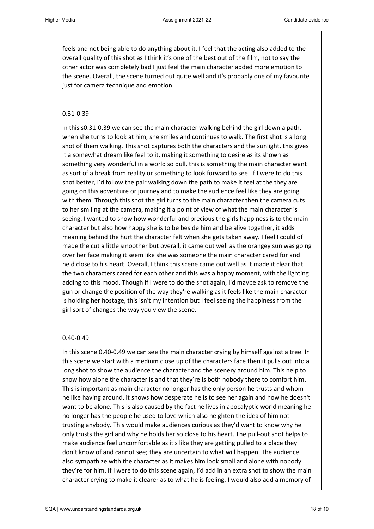feels and not being able to do anything about it. I feel that the acting also added to the overall quality of this shot as I think it's one of the best out of the film, not to say the other actor was completely bad I just feel the main character added more emotion to the scene. Overall, the scene turned out quite well and it's probably one of my favourite just for camera technique and emotion.

#### 0.31-0.39

in this s0.31-0.39 we can see the main character walking behind the girl down a path, when she turns to look at him, she smiles and continues to walk. The first shot is a long shot of them walking. This shot captures both the characters and the sunlight, this gives it a somewhat dream like feel to it, making it something to desire as its shown as something very wonderful in a world so dull, this is something the main character want as sort of a break from reality or something to look forward to see. If I were to do this shot better, I'd follow the pair walking down the path to make it feel at the they are going on this adventure or journey and to make the audience feel like they are going with them. Through this shot the girl turns to the main character then the camera cuts to her smiling at the camera, making it a point of view of what the main character is seeing. I wanted to show how wonderful and precious the girls happiness is to the main character but also how happy she is to be beside him and be alive together, it adds meaning behind the hurt the character felt when she gets taken away. I feel I could of made the cut a little smoother but overall, it came out well as the orangey sun was going over her face making it seem like she was someone the main character cared for and held close to his heart. Overall, I think this scene came out well as it made it clear that the two characters cared for each other and this was a happy moment, with the lighting adding to this mood. Though if I were to do the shot again, I'd maybe ask to remove the gun or change the position of the way they're walking as it feels like the main character is holding her hostage, this isn't my intention but I feel seeing the happiness from the girl sort of changes the way you view the scene.

#### 0.40-0.49

In this scene 0.40-0.49 we can see the main character crying by himself against a tree. In this scene we start with a medium close up of the characters face then it pulls out into a long shot to show the audience the character and the scenery around him. This help to show how alone the character is and that they're is both nobody there to comfort him. This is important as main character no longer has the only person he trusts and whom he like having around, it shows how desperate he is to see her again and how he doesn't want to be alone. This is also caused by the fact he lives in apocalyptic world meaning he no longer has the people he used to love which also heighten the idea of him not trusting anybody. This would make audiences curious as they'd want to know why he only trusts the girl and why he holds her so close to his heart. The pull-out shot helps to make audience feel uncomfortable as it's like they are getting pulled to a place they don't know of and cannot see; they are uncertain to what will happen. The audience also sympathize with the character as it makes him look small and alone with nobody, they're for him. If I were to do this scene again, I'd add in an extra shot to show the main character crying to make it clearer as to what he is feeling. I would also add a memory of